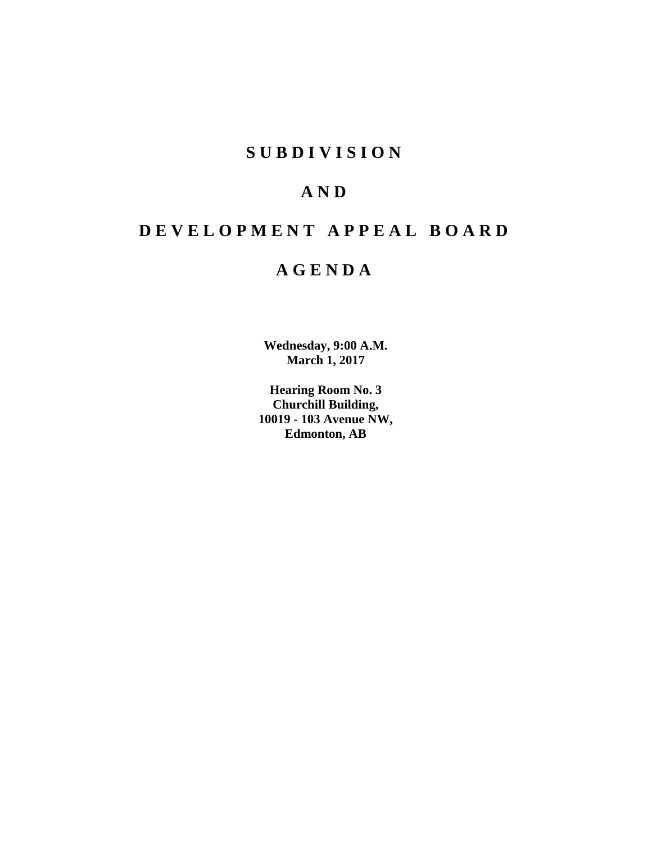# **S U B D I V I S I O N**

# **A N D**

# **D E V E L O P M E N T A P P E A L B O A R D**

# **A G E N D A**

**Wednesday, 9:00 A.M. March 1, 2017**

**Hearing Room No. 3 Churchill Building, 10019 - 103 Avenue NW, Edmonton, AB**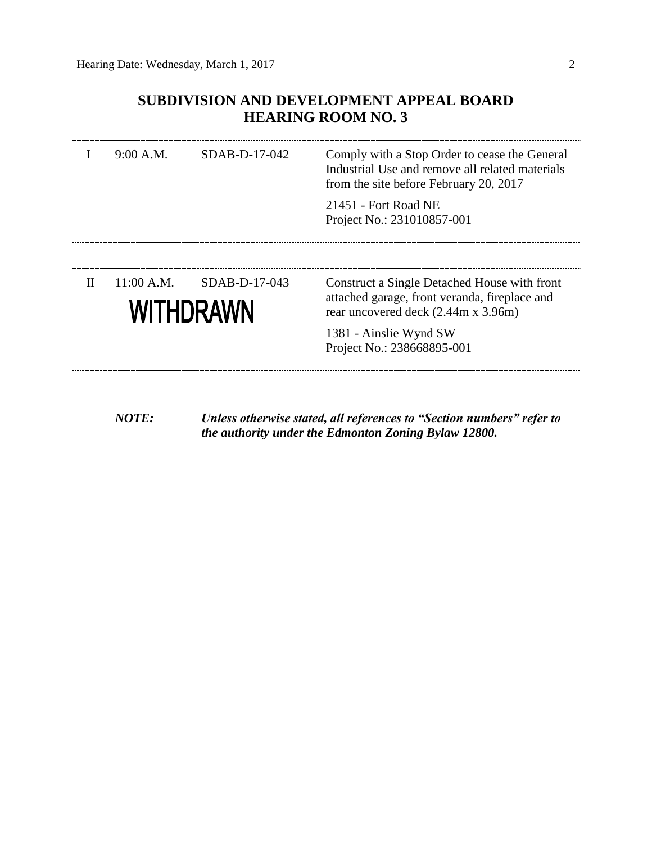# **SUBDIVISION AND DEVELOPMENT APPEAL BOARD HEARING ROOM NO. 3**

|              | 9:00 A.M.    | $SDAB-D-17-042$            | Comply with a Stop Order to cease the General<br>Industrial Use and remove all related materials<br>from the site before February 20, 2017 |
|--------------|--------------|----------------------------|--------------------------------------------------------------------------------------------------------------------------------------------|
|              |              |                            | 21451 - Fort Road NE<br>Project No.: 231010857-001                                                                                         |
|              |              |                            |                                                                                                                                            |
| $\mathbf{H}$ | 11:00 A.M.   | SDAB-D-17-043<br>WITHDRAWN | Construct a Single Detached House with front<br>attached garage, front veranda, fireplace and<br>rear uncovered deck (2.44m x 3.96m)       |
|              |              |                            | 1381 - Ainslie Wynd SW<br>Project No.: 238668895-001                                                                                       |
|              |              |                            |                                                                                                                                            |
|              | <b>NOTE:</b> |                            | Unless otherwise stated, all references to "Section numbers" refer to<br>the authority under the Edmonton Zoning Bylaw 12800.              |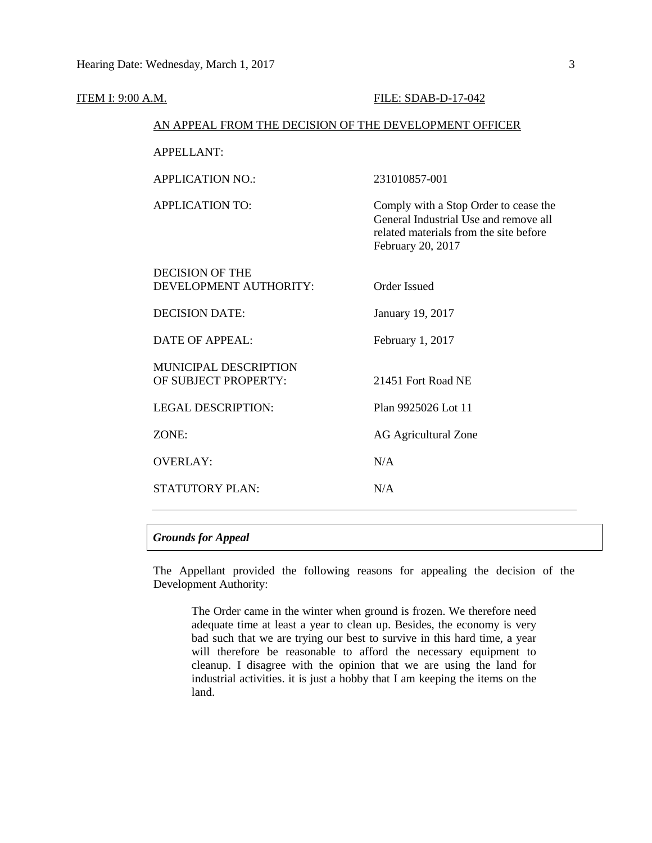| ITEM I: 9:00 A.M. |                                                        | FILE: SDAB-D-17-042                                                                                                                           |  |  |
|-------------------|--------------------------------------------------------|-----------------------------------------------------------------------------------------------------------------------------------------------|--|--|
|                   | AN APPEAL FROM THE DECISION OF THE DEVELOPMENT OFFICER |                                                                                                                                               |  |  |
|                   | <b>APPELLANT:</b>                                      |                                                                                                                                               |  |  |
|                   | <b>APPLICATION NO.:</b>                                | 231010857-001                                                                                                                                 |  |  |
|                   | <b>APPLICATION TO:</b>                                 | Comply with a Stop Order to cease the<br>General Industrial Use and remove all<br>related materials from the site before<br>February 20, 2017 |  |  |
|                   | <b>DECISION OF THE</b><br>DEVELOPMENT AUTHORITY:       | <b>Order Issued</b>                                                                                                                           |  |  |
|                   | <b>DECISION DATE:</b>                                  | January 19, 2017                                                                                                                              |  |  |
|                   | <b>DATE OF APPEAL:</b>                                 | February 1, 2017                                                                                                                              |  |  |
|                   | MUNICIPAL DESCRIPTION<br>OF SUBJECT PROPERTY:          | 21451 Fort Road NE                                                                                                                            |  |  |
|                   | <b>LEGAL DESCRIPTION:</b>                              | Plan 9925026 Lot 11                                                                                                                           |  |  |
|                   | ZONE:                                                  | <b>AG Agricultural Zone</b>                                                                                                                   |  |  |
|                   | <b>OVERLAY:</b>                                        | N/A                                                                                                                                           |  |  |
|                   | STATUTORY PLAN:                                        | N/A                                                                                                                                           |  |  |
|                   |                                                        |                                                                                                                                               |  |  |

# *Grounds for Appeal*

The Appellant provided the following reasons for appealing the decision of the Development Authority:

The Order came in the winter when ground is frozen. We therefore need adequate time at least a year to clean up. Besides, the economy is very bad such that we are trying our best to survive in this hard time, a year will therefore be reasonable to afford the necessary equipment to cleanup. I disagree with the opinion that we are using the land for industrial activities. it is just a hobby that I am keeping the items on the land.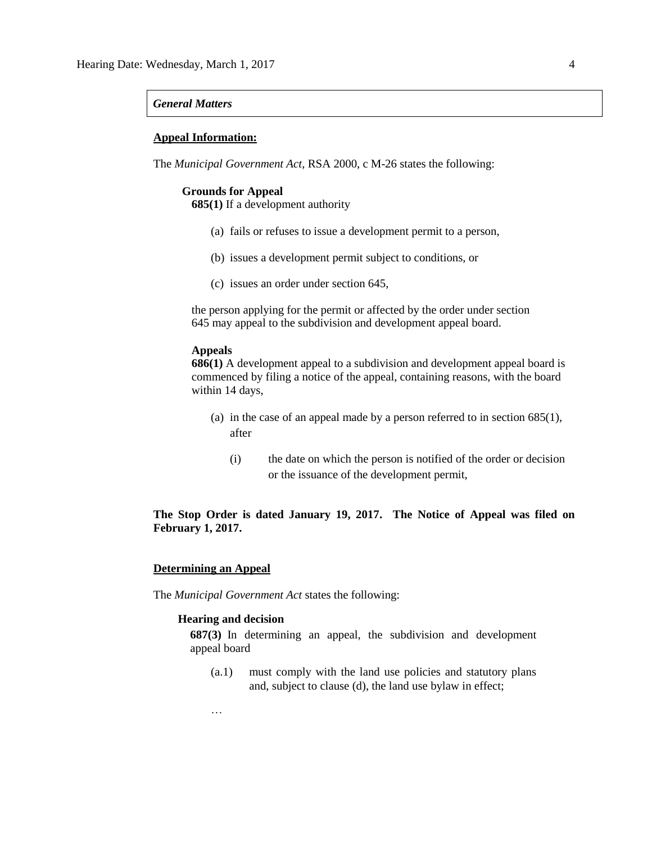## *General Matters*

### **Appeal Information:**

The *Municipal Government Act*, RSA 2000, c M-26 states the following:

### **Grounds for Appeal**

**685(1)** If a development authority

- (a) fails or refuses to issue a development permit to a person,
- (b) issues a development permit subject to conditions, or
- (c) issues an order under section 645,

the person applying for the permit or affected by the order under section 645 may appeal to the subdivision and development appeal board.

# **Appeals**

**686(1)** A development appeal to a subdivision and development appeal board is commenced by filing a notice of the appeal, containing reasons, with the board within 14 days,

- (a) in the case of an appeal made by a person referred to in section 685(1), after
	- (i) the date on which the person is notified of the order or decision or the issuance of the development permit,

# **The Stop Order is dated January 19, 2017. The Notice of Appeal was filed on February 1, 2017.**

# **Determining an Appeal**

…

The *Municipal Government Act* states the following:

# **Hearing and decision**

**687(3)** In determining an appeal, the subdivision and development appeal board

(a.1) must comply with the land use policies and statutory plans and, subject to clause (d), the land use bylaw in effect;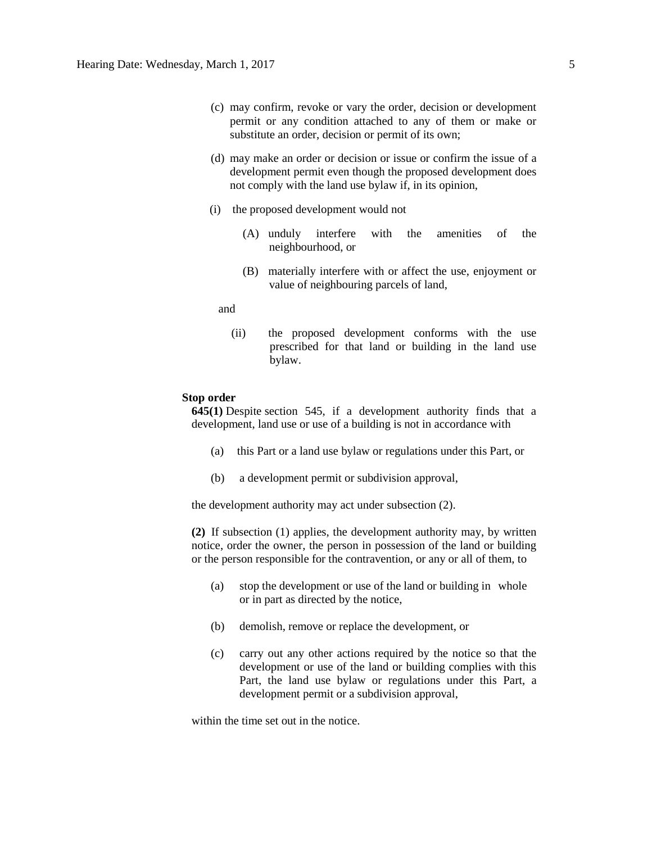- (c) may confirm, revoke or vary the order, decision or development permit or any condition attached to any of them or make or substitute an order, decision or permit of its own;
- (d) may make an order or decision or issue or confirm the issue of a development permit even though the proposed development does not comply with the land use bylaw if, in its opinion,
- (i) the proposed development would not
	- (A) unduly interfere with the amenities of the neighbourhood, or
	- (B) materially interfere with or affect the use, enjoyment or value of neighbouring parcels of land,

### and

(ii) the proposed development conforms with the use prescribed for that land or building in the land use bylaw.

### **Stop order**

**645(1)** Despite [section 545,](https://www.canlii.org/en/ab/laws/stat/rsa-2000-c-m-26/latest/rsa-2000-c-m-26.html#sec545_smooth) if a development authority finds that a development, land use or use of a building is not in accordance with

- (a) this Part or a land use bylaw or regulations under this Part, or
- (b) a development permit or subdivision approval,

the development authority may act under subsection (2).

**(2)** If subsection (1) applies, the development authority may, by written notice, order the owner, the person in possession of the land or building or the person responsible for the contravention, or any or all of them, to

- (a) stop the development or use of the land or building in whole or in part as directed by the notice,
- (b) demolish, remove or replace the development, or
- (c) carry out any other actions required by the notice so that the development or use of the land or building complies with this Part, the land use bylaw or regulations under this Part, a development permit or a subdivision approval,

within the time set out in the notice.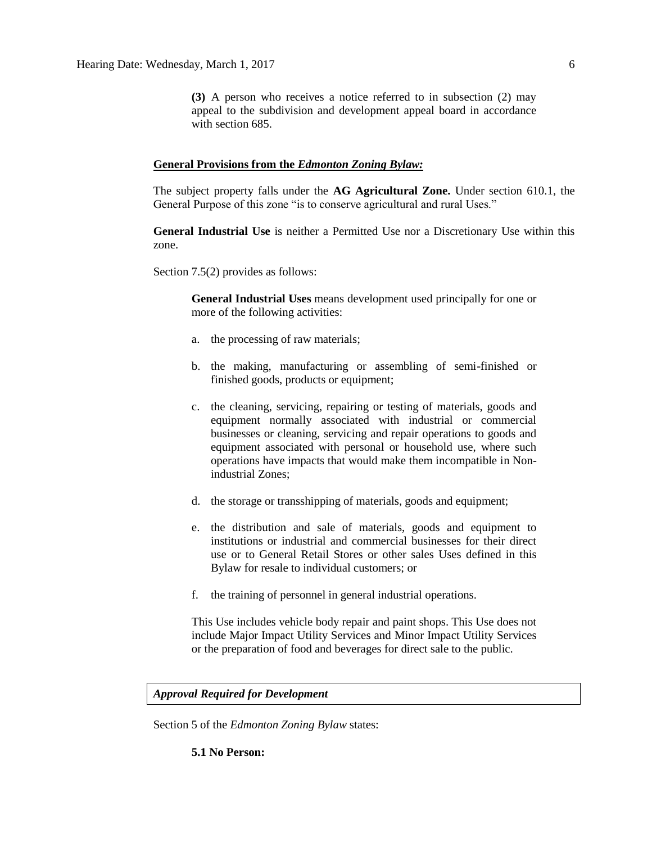**(3)** A person who receives a notice referred to in subsection (2) may appeal to the subdivision and development appeal board in accordance with [section 685.](https://www.canlii.org/en/ab/laws/stat/rsa-2000-c-m-26/latest/rsa-2000-c-m-26.html#sec685_smooth)

### **General Provisions from the** *Edmonton Zoning Bylaw:*

The subject property falls under the **AG Agricultural Zone.** Under section 610.1, the General Purpose of this zone "is to conserve agricultural and rural Uses."

**General Industrial Use** is neither a Permitted Use nor a Discretionary Use within this zone.

Section 7.5(2) provides as follows:

**General Industrial Uses** means development used principally for one or more of the following activities:

- a. the processing of raw materials;
- b. the making, manufacturing or assembling of semi-finished or finished goods, products or equipment;
- c. the cleaning, servicing, repairing or testing of materials, goods and equipment normally associated with industrial or commercial businesses or cleaning, servicing and repair operations to goods and equipment associated with personal or household use, where such operations have impacts that would make them incompatible in Nonindustrial Zones;
- d. the storage or transshipping of materials, goods and equipment;
- e. the distribution and sale of materials, goods and equipment to institutions or industrial and commercial businesses for their direct use or to General Retail Stores or other sales Uses defined in this Bylaw for resale to individual customers; or
- f. the training of personnel in general industrial operations.

This Use includes vehicle body repair and paint shops. This Use does not include Major Impact Utility Services and Minor Impact Utility Services or the preparation of food and beverages for direct sale to the public.

### *Approval Required for Development*

Section 5 of the *Edmonton Zoning Bylaw* states:

**5.1 No Person:**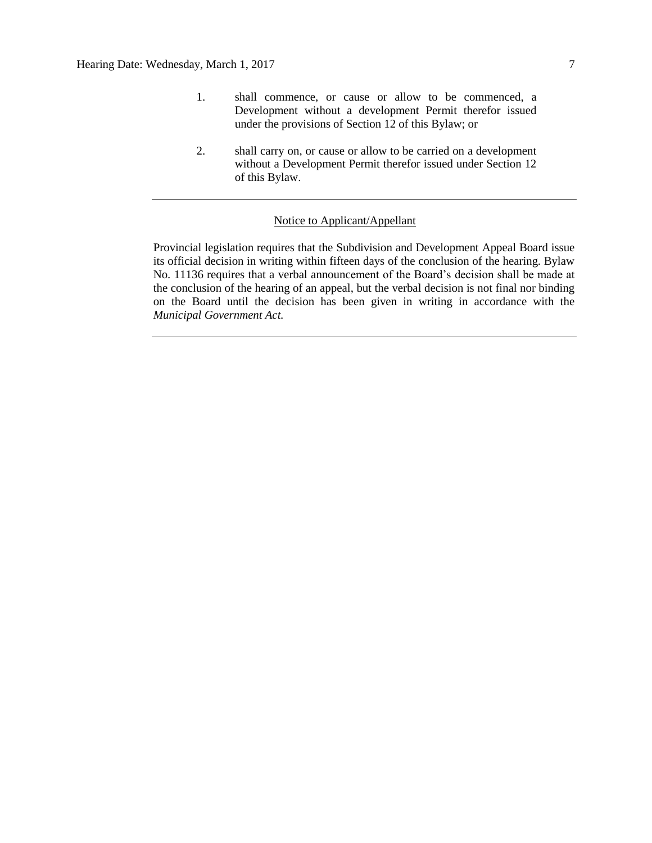- 1. shall commence, or cause or allow to be commenced, a Development without a development Permit therefor issued under the provisions of Section 12 of this Bylaw; or
- 2. shall carry on, or cause or allow to be carried on a development without a Development Permit therefor issued under Section 12 of this Bylaw.

## Notice to Applicant/Appellant

Provincial legislation requires that the Subdivision and Development Appeal Board issue its official decision in writing within fifteen days of the conclusion of the hearing. Bylaw No. 11136 requires that a verbal announcement of the Board's decision shall be made at the conclusion of the hearing of an appeal, but the verbal decision is not final nor binding on the Board until the decision has been given in writing in accordance with the *Municipal Government Act.*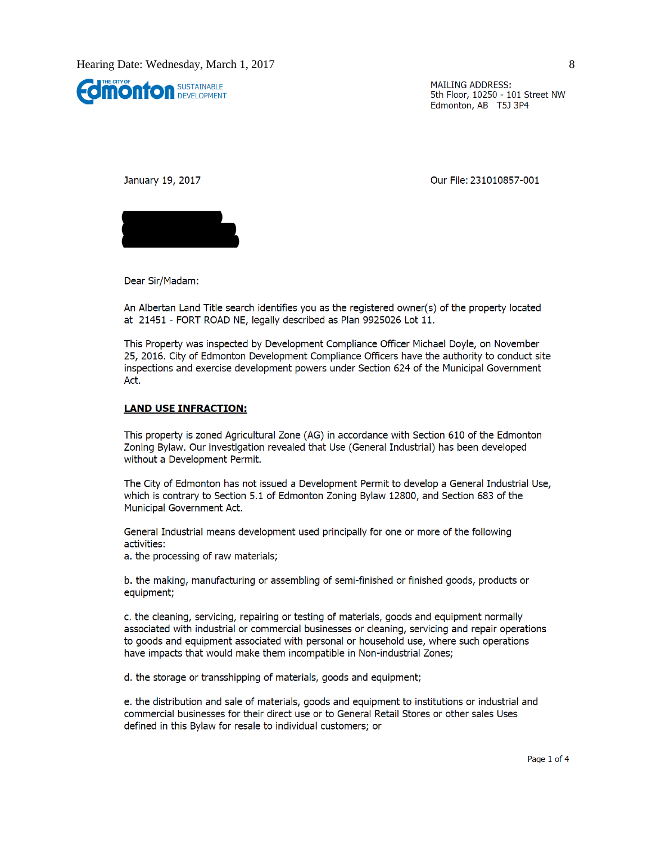

**MAILING ADDRESS:** 5th Floor, 10250 - 101 Street NW Edmonton, AB T5J 3P4

January 19, 2017

Our File: 231010857-001



Dear Sir/Madam:

An Albertan Land Title search identifies you as the registered owner(s) of the property located at 21451 - FORT ROAD NE, legally described as Plan 9925026 Lot 11.

This Property was inspected by Development Compliance Officer Michael Doyle, on November 25, 2016. City of Edmonton Development Compliance Officers have the authority to conduct site inspections and exercise development powers under Section 624 of the Municipal Government Act.

### **LAND USE INFRACTION:**

This property is zoned Agricultural Zone (AG) in accordance with Section 610 of the Edmonton Zoning Bylaw. Our investigation revealed that Use (General Industrial) has been developed without a Development Permit.

The City of Edmonton has not issued a Development Permit to develop a General Industrial Use, which is contrary to Section 5.1 of Edmonton Zoning Bylaw 12800, and Section 683 of the Municipal Government Act.

General Industrial means development used principally for one or more of the following activities:

a. the processing of raw materials;

b. the making, manufacturing or assembling of semi-finished or finished goods, products or equipment;

c. the cleaning, servicing, repairing or testing of materials, goods and equipment normally associated with industrial or commercial businesses or cleaning, servicing and repair operations to goods and equipment associated with personal or household use, where such operations have impacts that would make them incompatible in Non-industrial Zones;

d. the storage or transshipping of materials, goods and equipment;

e. the distribution and sale of materials, goods and equipment to institutions or industrial and commercial businesses for their direct use or to General Retail Stores or other sales Uses defined in this Bylaw for resale to individual customers; or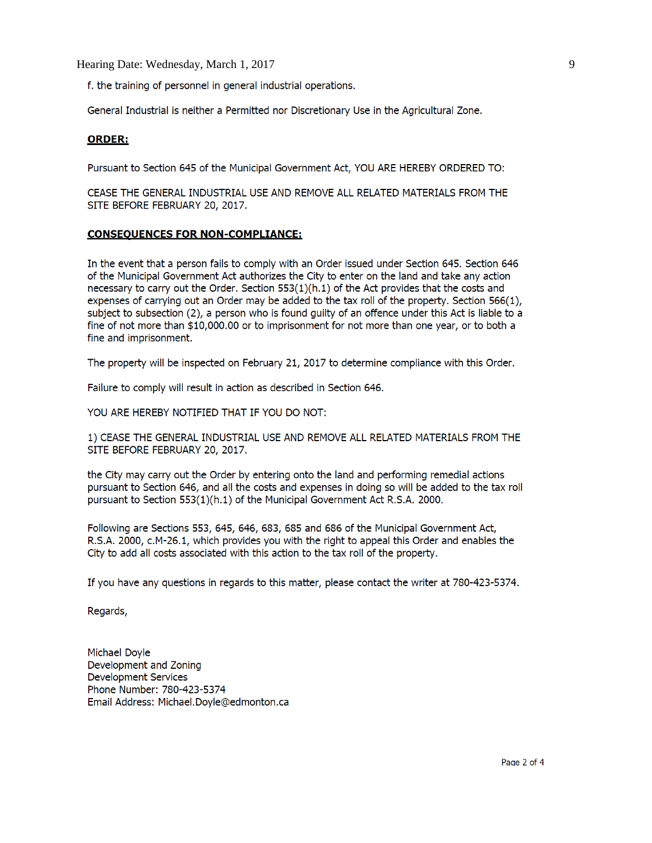Hearing Date: Wednesday, March 1, 2017

f. the training of personnel in general industrial operations.

General Industrial is neither a Permitted nor Discretionary Use in the Agricultural Zone.

# **ORDER:**

Pursuant to Section 645 of the Municipal Government Act, YOU ARE HEREBY ORDERED TO:

CEASE THE GENERAL INDUSTRIAL USE AND REMOVE ALL RELATED MATERIALS FROM THE SITE BEFORE FEBRUARY 20, 2017.

### **CONSEQUENCES FOR NON-COMPLIANCE:**

In the event that a person fails to comply with an Order issued under Section 645. Section 646 of the Municipal Government Act authorizes the City to enter on the land and take any action necessary to carry out the Order. Section 553(1)(h.1) of the Act provides that the costs and expenses of carrying out an Order may be added to the tax roll of the property. Section 566(1), subject to subsection (2), a person who is found guilty of an offence under this Act is liable to a fine of not more than \$10,000.00 or to imprisonment for not more than one year, or to both a fine and imprisonment.

The property will be inspected on February 21, 2017 to determine compliance with this Order.

Failure to comply will result in action as described in Section 646.

YOU ARE HEREBY NOTIFIED THAT IF YOU DO NOT:

1) CEASE THE GENERAL INDUSTRIAL USE AND REMOVE ALL RELATED MATERIALS FROM THE SITE BEFORE FEBRUARY 20, 2017.

the City may carry out the Order by entering onto the land and performing remedial actions pursuant to Section 646, and all the costs and expenses in doing so will be added to the tax roll pursuant to Section 553(1)(h.1) of the Municipal Government Act R.S.A. 2000.

Following are Sections 553, 645, 646, 683, 685 and 686 of the Municipal Government Act, R.S.A. 2000, c.M-26.1, which provides you with the right to appeal this Order and enables the City to add all costs associated with this action to the tax roll of the property.

If you have any questions in regards to this matter, please contact the writer at 780-423-5374.

Regards,

**Michael Doyle** Development and Zoning **Development Services** Phone Number: 780-423-5374 Email Address: Michael.Doyle@edmonton.ca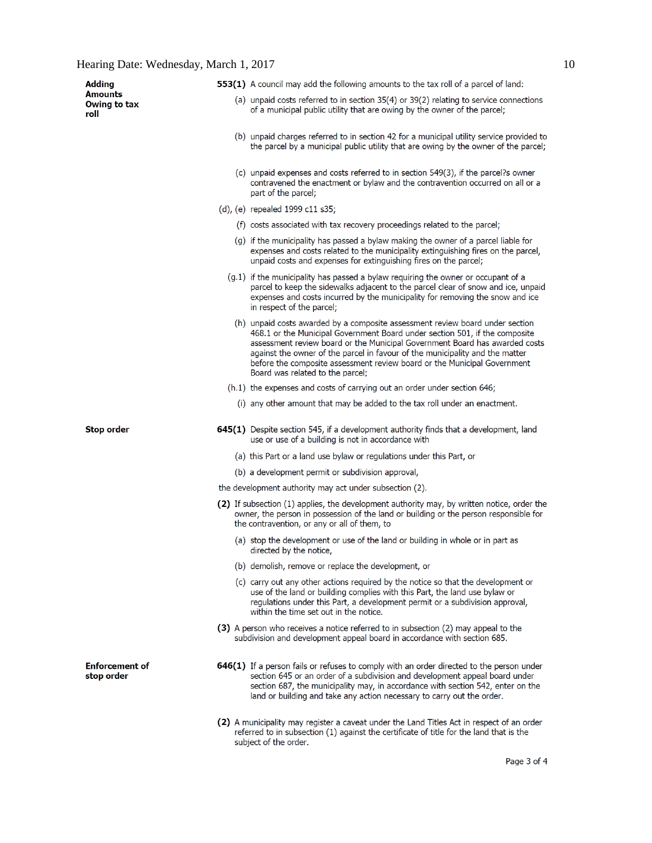| <b>Adding</b>                       | 553(1) A council may add the following amounts to the tax roll of a parcel of land:                                                                                                                                                                                                                                                                                                                                                         |
|-------------------------------------|---------------------------------------------------------------------------------------------------------------------------------------------------------------------------------------------------------------------------------------------------------------------------------------------------------------------------------------------------------------------------------------------------------------------------------------------|
| Amounts<br>Owing to tax<br>roll     | (a) unpaid costs referred to in section 35(4) or 39(2) relating to service connections<br>of a municipal public utility that are owing by the owner of the parcel;                                                                                                                                                                                                                                                                          |
|                                     | (b) unpaid charges referred to in section 42 for a municipal utility service provided to<br>the parcel by a municipal public utility that are owing by the owner of the parcel;                                                                                                                                                                                                                                                             |
|                                     | (c) unpaid expenses and costs referred to in section 549(3), if the parcel?s owner<br>contravened the enactment or bylaw and the contravention occurred on all or a<br>part of the parcel;                                                                                                                                                                                                                                                  |
|                                     | (d), (e) repealed 1999 c11 s35;                                                                                                                                                                                                                                                                                                                                                                                                             |
|                                     | (f) costs associated with tax recovery proceedings related to the parcel;                                                                                                                                                                                                                                                                                                                                                                   |
|                                     | (g) if the municipality has passed a bylaw making the owner of a parcel liable for<br>expenses and costs related to the municipality extinguishing fires on the parcel,<br>unpaid costs and expenses for extinguishing fires on the parcel;                                                                                                                                                                                                 |
|                                     | $(g.1)$ if the municipality has passed a bylaw requiring the owner or occupant of a<br>parcel to keep the sidewalks adjacent to the parcel clear of snow and ice, unpaid<br>expenses and costs incurred by the municipality for removing the snow and ice<br>in respect of the parcel;                                                                                                                                                      |
|                                     | (h) unpaid costs awarded by a composite assessment review board under section<br>468.1 or the Municipal Government Board under section 501, if the composite<br>assessment review board or the Municipal Government Board has awarded costs<br>against the owner of the parcel in favour of the municipality and the matter<br>before the composite assessment review board or the Municipal Government<br>Board was related to the parcel: |
|                                     | $(h.1)$ the expenses and costs of carrying out an order under section 646;                                                                                                                                                                                                                                                                                                                                                                  |
|                                     | (i) any other amount that may be added to the tax roll under an enactment.                                                                                                                                                                                                                                                                                                                                                                  |
| Stop order                          | <b>645(1)</b> Despite section 545, if a development authority finds that a development, land<br>use or use of a building is not in accordance with                                                                                                                                                                                                                                                                                          |
|                                     | (a) this Part or a land use bylaw or regulations under this Part, or                                                                                                                                                                                                                                                                                                                                                                        |
|                                     | (b) a development permit or subdivision approval,                                                                                                                                                                                                                                                                                                                                                                                           |
|                                     | the development authority may act under subsection (2).                                                                                                                                                                                                                                                                                                                                                                                     |
|                                     | (2) If subsection (1) applies, the development authority may, by written notice, order the<br>owner, the person in possession of the land or building or the person responsible for<br>the contravention, or any or all of them, to                                                                                                                                                                                                         |
|                                     | (a) stop the development or use of the land or building in whole or in part as<br>directed by the notice,                                                                                                                                                                                                                                                                                                                                   |
|                                     | (b) demolish, remove or replace the development, or                                                                                                                                                                                                                                                                                                                                                                                         |
|                                     | (c) carry out any other actions required by the notice so that the development or<br>use of the land or building complies with this Part, the land use bylaw or<br>regulations under this Part, a development permit or a subdivision approval,<br>within the time set out in the notice.                                                                                                                                                   |
|                                     | (3) A person who receives a notice referred to in subsection (2) may appeal to the<br>subdivision and development appeal board in accordance with section 685.                                                                                                                                                                                                                                                                              |
| <b>Enforcement of</b><br>stop order | <b>646(1)</b> If a person fails or refuses to comply with an order directed to the person under<br>section 645 or an order of a subdivision and development appeal board under<br>section 687, the municipality may, in accordance with section 542, enter on the<br>land or building and take any action necessary to carry out the order.                                                                                                 |
|                                     | (2) A municipality may register a caveat under the Land Titles Act in respect of an order<br>referred to in subsection (1) against the certificate of title for the land that is the<br>subject of the order.                                                                                                                                                                                                                               |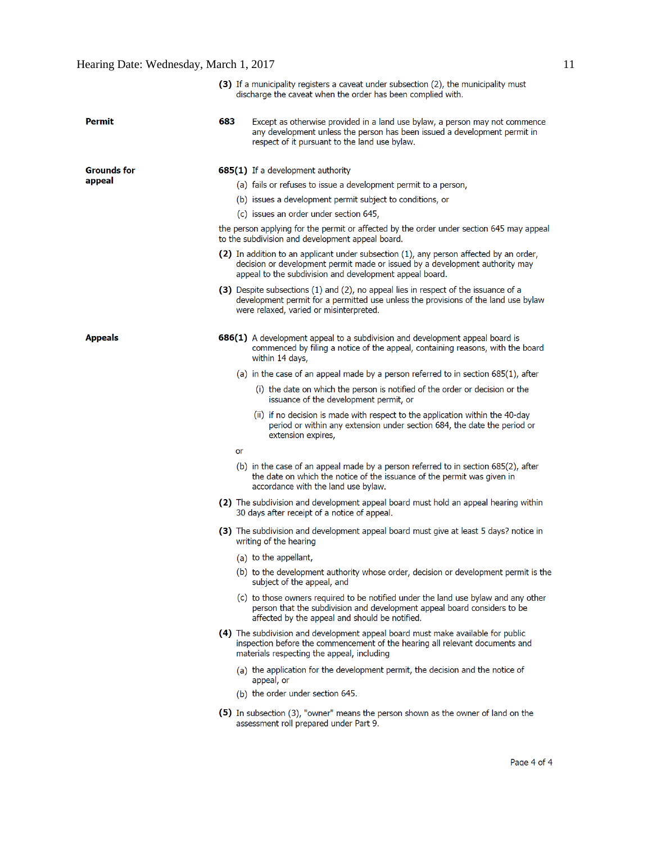# Hearing Date: Wednesday, March 1, 2017 11

|                    |     | (3) If a municipality registers a caveat under subsection (2), the municipality must<br>discharge the caveat when the order has been complied with.                                                                               |  |
|--------------------|-----|-----------------------------------------------------------------------------------------------------------------------------------------------------------------------------------------------------------------------------------|--|
| Permit             | 683 | Except as otherwise provided in a land use bylaw, a person may not commence<br>any development unless the person has been issued a development permit in<br>respect of it pursuant to the land use bylaw.                         |  |
| <b>Grounds for</b> |     | <b>685(1)</b> If a development authority                                                                                                                                                                                          |  |
| appeal             |     | (a) fails or refuses to issue a development permit to a person,                                                                                                                                                                   |  |
|                    |     | (b) issues a development permit subject to conditions, or                                                                                                                                                                         |  |
|                    |     | (c) issues an order under section 645,                                                                                                                                                                                            |  |
|                    |     | the person applying for the permit or affected by the order under section 645 may appeal<br>to the subdivision and development appeal board.                                                                                      |  |
|                    |     | (2) In addition to an applicant under subsection (1), any person affected by an order,<br>decision or development permit made or issued by a development authority may<br>appeal to the subdivision and development appeal board. |  |
|                    |     | (3) Despite subsections (1) and (2), no appeal lies in respect of the issuance of a<br>development permit for a permitted use unless the provisions of the land use bylaw<br>were relaxed, varied or misinterpreted.              |  |
| <b>Appeals</b>     |     | 686(1) A development appeal to a subdivision and development appeal board is<br>commenced by filing a notice of the appeal, containing reasons, with the board<br>within 14 days,                                                 |  |
|                    |     | (a) in the case of an appeal made by a person referred to in section 685(1), after                                                                                                                                                |  |
|                    |     | (i) the date on which the person is notified of the order or decision or the<br>issuance of the development permit, or                                                                                                            |  |
|                    |     | (ii) if no decision is made with respect to the application within the 40-day<br>period or within any extension under section 684, the date the period or<br>extension expires,                                                   |  |
|                    | or  |                                                                                                                                                                                                                                   |  |
|                    |     | (b) in the case of an appeal made by a person referred to in section 685(2), after<br>the date on which the notice of the issuance of the permit was given in<br>accordance with the land use bylaw.                              |  |
|                    |     | (2) The subdivision and development appeal board must hold an appeal hearing within<br>30 days after receipt of a notice of appeal.                                                                                               |  |
|                    |     | (3) The subdivision and development appeal board must give at least 5 days? notice in<br>writing of the hearing                                                                                                                   |  |
|                    |     | (a) to the appellant,                                                                                                                                                                                                             |  |
|                    |     | (b) to the development authority whose order, decision or development permit is the<br>subject of the appeal, and                                                                                                                 |  |
|                    |     | (c) to those owners required to be notified under the land use bylaw and any other<br>person that the subdivision and development appeal board considers to be<br>affected by the appeal and should be notified.                  |  |
|                    |     | (4) The subdivision and development appeal board must make available for public<br>inspection before the commencement of the hearing all relevant documents and<br>materials respecting the appeal, including                     |  |
|                    |     | (a) the application for the development permit, the decision and the notice of<br>appeal, or                                                                                                                                      |  |
|                    |     | (b) the order under section 645.                                                                                                                                                                                                  |  |
|                    |     | (5) In subsection (3), "owner" means the person shown as the owner of land on the<br>assessment roll prepared under Part 9.                                                                                                       |  |
|                    |     |                                                                                                                                                                                                                                   |  |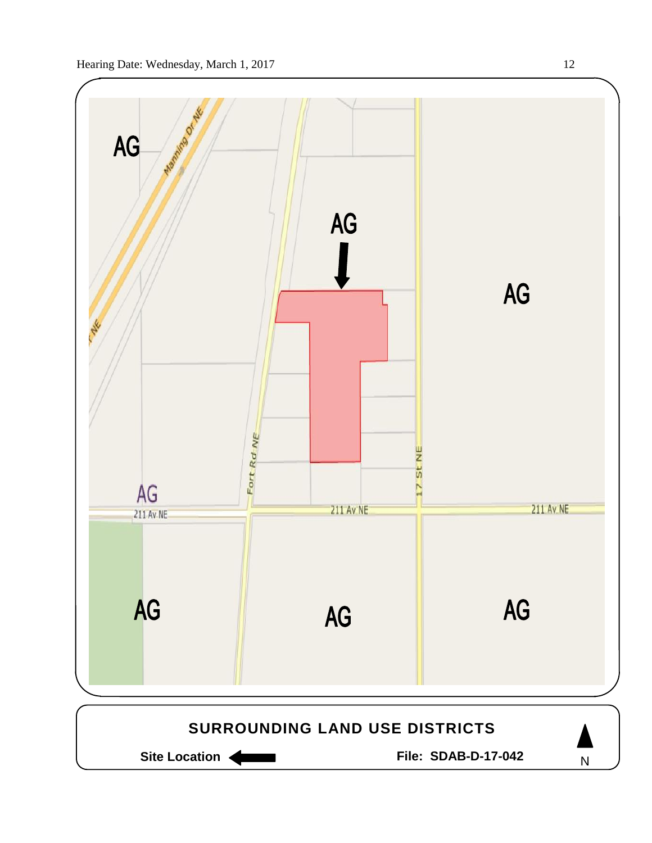